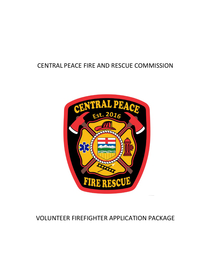## CENTRAL PEACE FIRE AND RESCUE COMMISSION



## VOLUNTEER FIREFIGHTER APPLICATION PACKAGE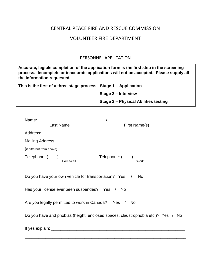# CENTRAL PEACE FIRE AND RESCUE COMMISSION VOLUNTEER FIRE DEPARTMENT

### PERSONNEL APPLICATION

| the information requested.                                        |                                                                                  |  |
|-------------------------------------------------------------------|----------------------------------------------------------------------------------|--|
| This is the first of a three stage process. Stage 1 - Application |                                                                                  |  |
|                                                                   | <b>Stage 2 - Interview</b>                                                       |  |
|                                                                   | <b>Stage 3 - Physical Abilities testing</b>                                      |  |
|                                                                   |                                                                                  |  |
|                                                                   | Name: Last Name<br>Last Name<br>First Name(s)                                    |  |
|                                                                   |                                                                                  |  |
|                                                                   |                                                                                  |  |
| (if different from above)                                         |                                                                                  |  |
|                                                                   | Telephone: $(\_\_\_)$ $\_\_\_\_\_\$ Telephone: $(\_\_)$ $\_\_\_\_\_\_\_\_\$      |  |
| Do you have your own vehicle for transportation? Yes /            | <b>No</b>                                                                        |  |
| Has your license ever been suspended? Yes / No                    |                                                                                  |  |
| Are you legally permitted to work in Canada? Yes / No             |                                                                                  |  |
|                                                                   | Do you have and phobias (height, enclosed spaces, claustrophobia etc.)? Yes / No |  |
|                                                                   |                                                                                  |  |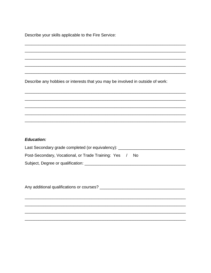Describe your skills applicable to the Fire Service:

Describe any hobbies or interests that you may be involved in outside of work:

#### **Education:**

| Last Secondary grade completed (or equivalency): _        |
|-----------------------------------------------------------|
| Post-Secondary, Vocational, or Trade Training: Yes<br>No. |
| Subject, Degree or qualification:                         |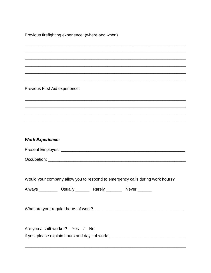Previous firefighting experience: (where and when)

Previous First Aid experience:

| <b>Work Experience:</b> |  |
|-------------------------|--|
|-------------------------|--|

| Present Employer: |  |
|-------------------|--|
|                   |  |

Occupation: the contract of the contract of the contract of the contract of the contract of the contract of the contract of the contract of the contract of the contract of the contract of the contract of the contract of th

Would your company allow you to respond to emergency calls during work hours?

Always \_\_\_\_\_\_\_\_\_\_\_ Usually \_\_\_\_\_\_\_\_ Rarely \_\_\_\_\_\_\_\_\_ Never \_\_\_\_\_\_\_

Are you a shift worker? Yes / No

if yes, please explain hours and days of work: \_\_\_\_\_\_\_\_\_\_\_\_\_\_\_\_\_\_\_\_\_\_\_\_\_\_\_\_\_\_\_\_\_\_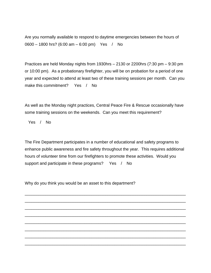Are you normally available to respond to daytime emergencies between the hours of 0600 – 1800 hrs? (6:00 am – 6:00 pm) Yes / No

Practices are held Monday nights from 1930hrs – 2130 or 2200hrs (7:30 pm – 9:30 pm or 10:00 pm). As a probationary firefighter, you will be on probation for a period of one year and expected to attend at least two of these training sessions per month. Can you make this commitment? Yes / No

As well as the Monday night practices, Central Peace Fire & Rescue occasionally have some training sessions on the weekends. Can you meet this requirement?

Yes / No

The Fire Department participates in a number of educational and safety programs to enhance public awareness and fire safety throughout the year. This requires additional hours of volunteer time from our firefighters to promote these activities. Would you support and participate in these programs? Yes / No

\_\_\_\_\_\_\_\_\_\_\_\_\_\_\_\_\_\_\_\_\_\_\_\_\_\_\_\_\_\_\_\_\_\_\_\_\_\_\_\_\_\_\_\_\_\_\_\_\_\_\_\_\_\_\_\_\_\_\_\_\_\_\_\_\_\_\_\_\_\_

\_\_\_\_\_\_\_\_\_\_\_\_\_\_\_\_\_\_\_\_\_\_\_\_\_\_\_\_\_\_\_\_\_\_\_\_\_\_\_\_\_\_\_\_\_\_\_\_\_\_\_\_\_\_\_\_\_\_\_\_\_\_\_\_\_\_\_\_\_\_

\_\_\_\_\_\_\_\_\_\_\_\_\_\_\_\_\_\_\_\_\_\_\_\_\_\_\_\_\_\_\_\_\_\_\_\_\_\_\_\_\_\_\_\_\_\_\_\_\_\_\_\_\_\_\_\_\_\_\_\_\_\_\_\_\_\_\_\_\_\_

\_\_\_\_\_\_\_\_\_\_\_\_\_\_\_\_\_\_\_\_\_\_\_\_\_\_\_\_\_\_\_\_\_\_\_\_\_\_\_\_\_\_\_\_\_\_\_\_\_\_\_\_\_\_\_\_\_\_\_\_\_\_\_\_\_\_\_\_\_\_

\_\_\_\_\_\_\_\_\_\_\_\_\_\_\_\_\_\_\_\_\_\_\_\_\_\_\_\_\_\_\_\_\_\_\_\_\_\_\_\_\_\_\_\_\_\_\_\_\_\_\_\_\_\_\_\_\_\_\_\_\_\_\_\_\_\_\_\_\_\_

\_\_\_\_\_\_\_\_\_\_\_\_\_\_\_\_\_\_\_\_\_\_\_\_\_\_\_\_\_\_\_\_\_\_\_\_\_\_\_\_\_\_\_\_\_\_\_\_\_\_\_\_\_\_\_\_\_\_\_\_\_\_\_\_\_\_\_\_\_\_

\_\_\_\_\_\_\_\_\_\_\_\_\_\_\_\_\_\_\_\_\_\_\_\_\_\_\_\_\_\_\_\_\_\_\_\_\_\_\_\_\_\_\_\_\_\_\_\_\_\_\_\_\_\_\_\_\_\_\_\_\_\_\_\_\_\_\_\_\_\_

\_\_\_\_\_\_\_\_\_\_\_\_\_\_\_\_\_\_\_\_\_\_\_\_\_\_\_\_\_\_\_\_\_\_\_\_\_\_\_\_\_\_\_\_\_\_\_\_\_\_\_\_\_\_\_\_\_\_\_\_\_\_\_\_\_\_\_\_\_\_

Why do you think you would be an asset to this department?